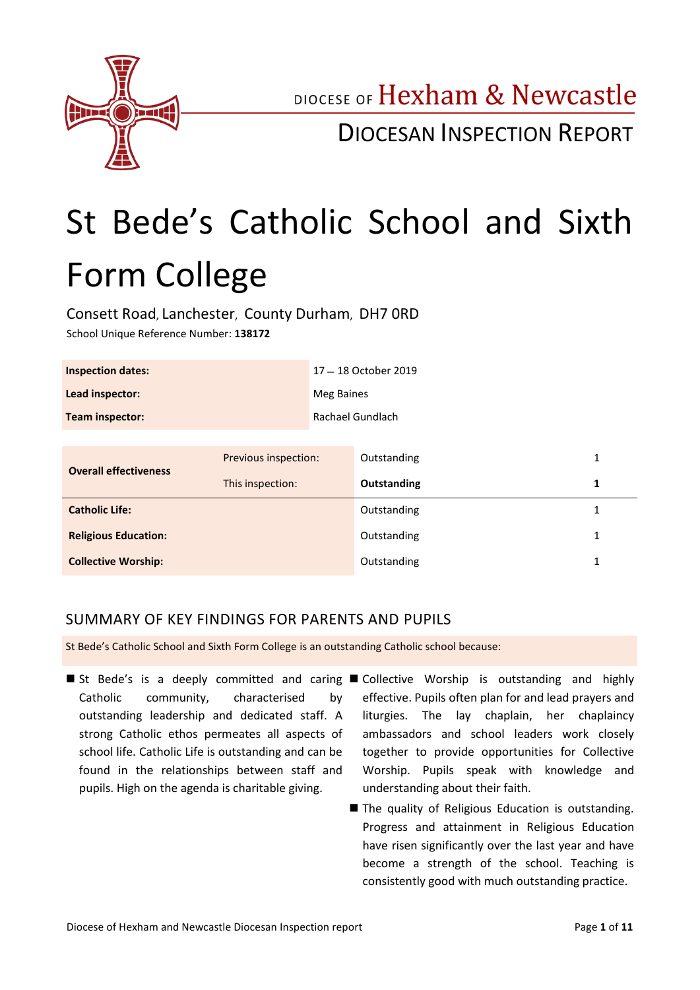

DIOCESE OF Hexham & Newcastle

DIOCESAN INSPECTION REPORT

# St Bede's Catholic School and Sixth Form College

Consett Road, Lanchester, County Durham, DH7 0RD School Unique Reference Number: **138172**

| <b>Inspection dates:</b>     |                      | 17 - 18 October 2019 |             |   |
|------------------------------|----------------------|----------------------|-------------|---|
| Lead inspector:              |                      | <b>Meg Baines</b>    |             |   |
| Team inspector:              |                      | Rachael Gundlach     |             |   |
|                              |                      |                      |             |   |
| <b>Overall effectiveness</b> | Previous inspection: |                      | Outstanding | 1 |
|                              | This inspection:     |                      | Outstanding | 1 |
| <b>Catholic Life:</b>        |                      |                      | Outstanding | 1 |
| <b>Religious Education:</b>  |                      |                      | Outstanding | 1 |
| <b>Collective Worship:</b>   |                      |                      | Outstanding | 1 |

### SUMMARY OF KEY FINDINGS FOR PARENTS AND PUPILS

St Bede's Catholic School and Sixth Form College is an outstanding Catholic school because:

- St Bede's is a deeply committed and caring Collective Worship is outstanding and highly Catholic community, characterised by outstanding leadership and dedicated staff. A strong Catholic ethos permeates all aspects of school life. Catholic Life is outstanding and can be found in the relationships between staff and pupils. High on the agenda is charitable giving.
	- effective. Pupils often plan for and lead prayers and liturgies. The lay chaplain, her chaplaincy ambassadors and school leaders work closely together to provide opportunities for Collective Worship. Pupils speak with knowledge and understanding about their faith.
	- The quality of Religious Education is outstanding. Progress and attainment in Religious Education have risen significantly over the last year and have become a strength of the school. Teaching is consistently good with much outstanding practice.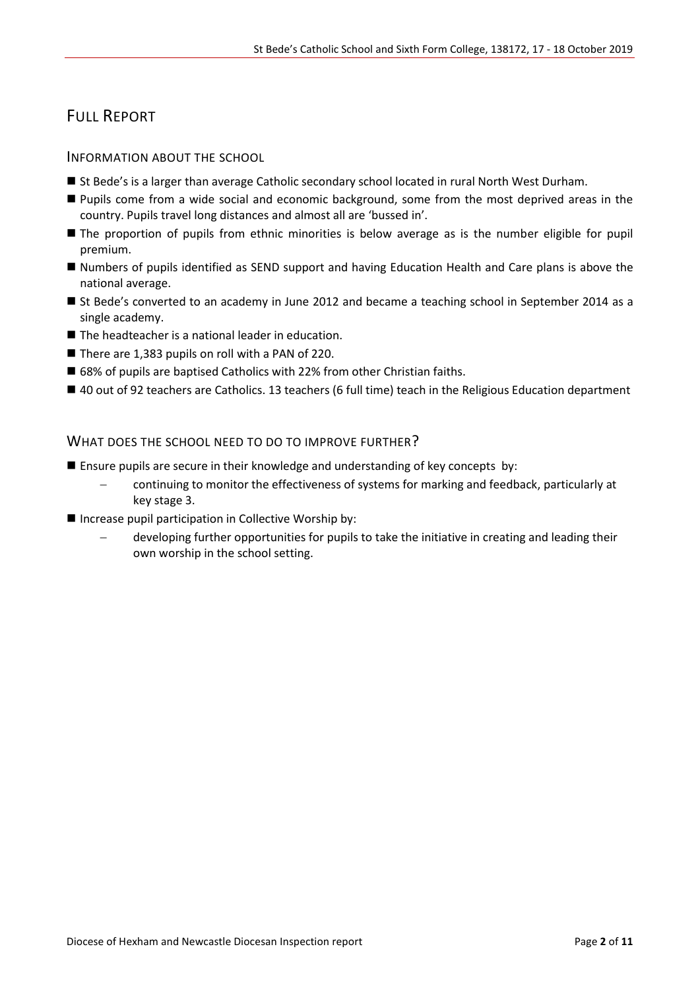# FULL REPORT

#### INFORMATION ABOUT THE SCHOOL

- St Bede's is a larger than average Catholic secondary school located in rural North West Durham.
- **Pupils come from a wide social and economic background, some from the most deprived areas in the** country. Pupils travel long distances and almost all are 'bussed in'.
- **The proportion of pupils from ethnic minorities is below average as is the number eligible for pupil** premium.
- Numbers of pupils identified as SEND support and having Education Health and Care plans is above the national average.
- St Bede's converted to an academy in June 2012 and became a teaching school in September 2014 as a single academy.
- The headteacher is a national leader in education.
- There are 1,383 pupils on roll with a PAN of 220.
- 68% of pupils are baptised Catholics with 22% from other Christian faiths.
- 40 out of 92 teachers are Catholics. 13 teachers (6 full time) teach in the Religious Education department

#### WHAT DOES THE SCHOOL NEED TO DO TO IMPROVE FURTHER?

- **E** Ensure pupils are secure in their knowledge and understanding of key concepts by:
	- continuing to monitor the effectiveness of systems for marking and feedback, particularly at key stage 3.
- **Increase pupil participation in Collective Worship by:** 
	- developing further opportunities for pupils to take the initiative in creating and leading their own worship in the school setting.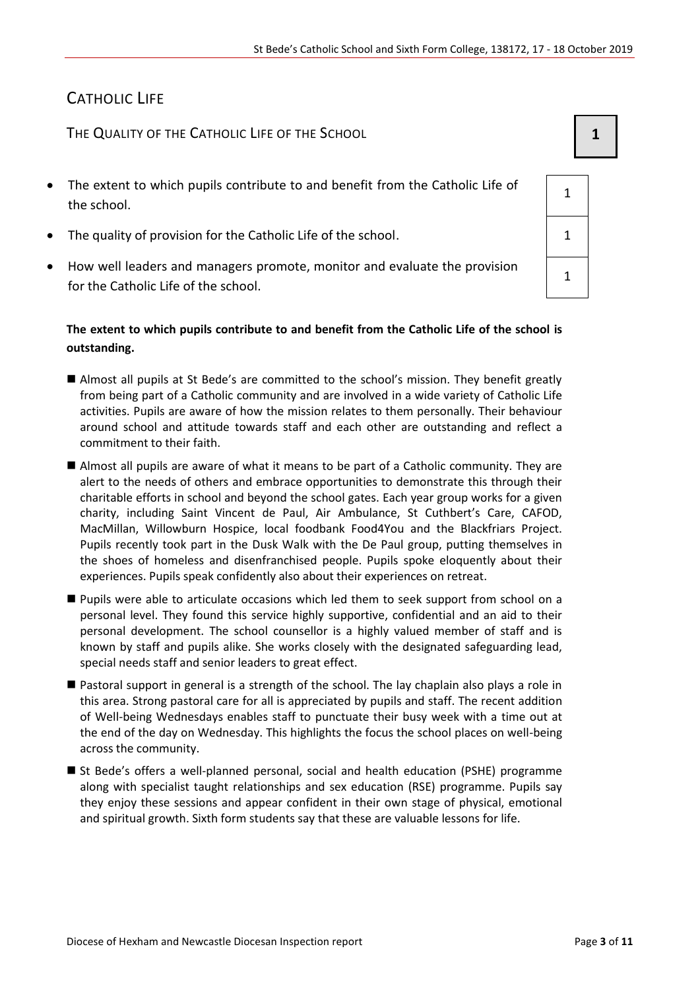# CATHOLIC LIFE

THE QUALITY OF THE CATHOLIC LIFE OF THE SCHOOL **1 1** 

- The extent to which pupils contribute to and benefit from the Catholic Life of the school.
- The quality of provision for the Catholic Life of the school.  $\vert$  1
- How well leaders and managers promote, monitor and evaluate the provision for the Catholic Life of the school.

#### **The extent to which pupils contribute to and benefit from the Catholic Life of the school is outstanding.**

- Almost all pupils at St Bede's are committed to the school's mission. They benefit greatly from being part of a Catholic community and are involved in a wide variety of Catholic Life activities. Pupils are aware of how the mission relates to them personally. Their behaviour around school and attitude towards staff and each other are outstanding and reflect a commitment to their faith.
- Almost all pupils are aware of what it means to be part of a Catholic community. They are alert to the needs of others and embrace opportunities to demonstrate this through their charitable efforts in school and beyond the school gates. Each year group works for a given charity, including Saint Vincent de Paul, Air Ambulance, St Cuthbert's Care, CAFOD, MacMillan, Willowburn Hospice, local foodbank Food4You and the Blackfriars Project. Pupils recently took part in the Dusk Walk with the De Paul group, putting themselves in the shoes of homeless and disenfranchised people. Pupils spoke eloquently about their experiences. Pupils speak confidently also about their experiences on retreat.
- **Pupils were able to articulate occasions which led them to seek support from school on a** personal level. They found this service highly supportive, confidential and an aid to their personal development. The school counsellor is a highly valued member of staff and is known by staff and pupils alike. She works closely with the designated safeguarding lead, special needs staff and senior leaders to great effect.
- Pastoral support in general is a strength of the school. The lay chaplain also plays a role in this area. Strong pastoral care for all is appreciated by pupils and staff. The recent addition of Well-being Wednesdays enables staff to punctuate their busy week with a time out at the end of the day on Wednesday. This highlights the focus the school places on well-being across the community.
- St Bede's offers a well-planned personal, social and health education (PSHE) programme along with specialist taught relationships and sex education (RSE) programme. Pupils say they enjoy these sessions and appear confident in their own stage of physical, emotional and spiritual growth. Sixth form students say that these are valuable lessons for life.

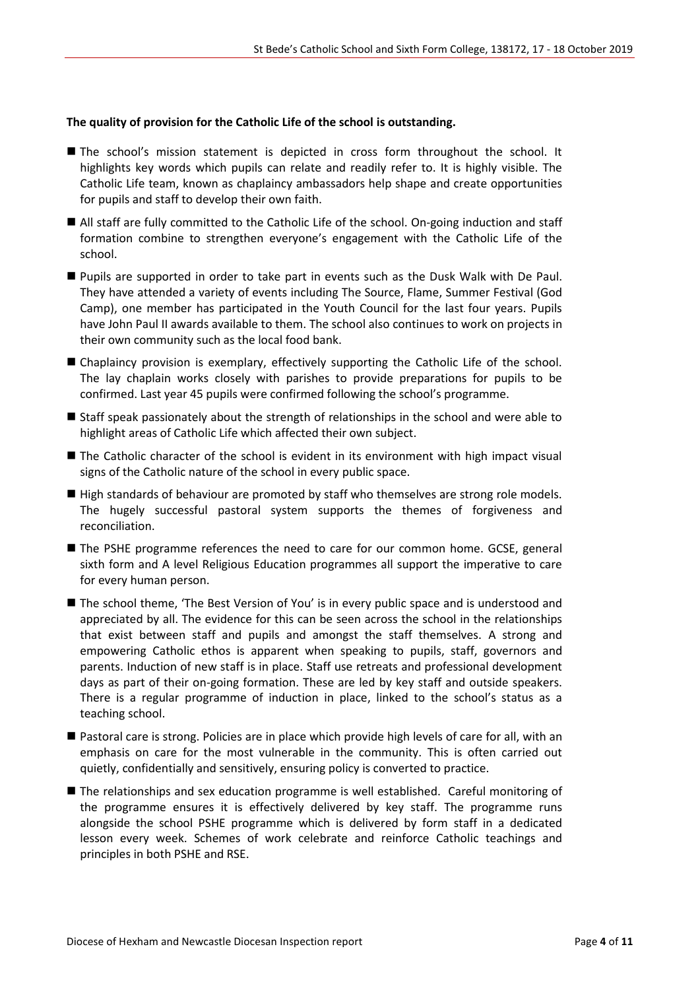#### **The quality of provision for the Catholic Life of the school is outstanding.**

- The school's mission statement is depicted in cross form throughout the school. It highlights key words which pupils can relate and readily refer to. It is highly visible. The Catholic Life team, known as chaplaincy ambassadors help shape and create opportunities for pupils and staff to develop their own faith.
- All staff are fully committed to the Catholic Life of the school. On-going induction and staff formation combine to strengthen everyone's engagement with the Catholic Life of the school.
- Pupils are supported in order to take part in events such as the Dusk Walk with De Paul. They have attended a variety of events including The Source, Flame, Summer Festival (God Camp), one member has participated in the Youth Council for the last four years. Pupils have John Paul II awards available to them. The school also continues to work on projects in their own community such as the local food bank.
- Chaplaincy provision is exemplary, effectively supporting the Catholic Life of the school. The lay chaplain works closely with parishes to provide preparations for pupils to be confirmed. Last year 45 pupils were confirmed following the school's programme.
- Staff speak passionately about the strength of relationships in the school and were able to highlight areas of Catholic Life which affected their own subject.
- The Catholic character of the school is evident in its environment with high impact visual signs of the Catholic nature of the school in every public space.
- High standards of behaviour are promoted by staff who themselves are strong role models. The hugely successful pastoral system supports the themes of forgiveness and reconciliation.
- The PSHE programme references the need to care for our common home. GCSE, general sixth form and A level Religious Education programmes all support the imperative to care for every human person.
- The school theme, 'The Best Version of You' is in every public space and is understood and appreciated by all. The evidence for this can be seen across the school in the relationships that exist between staff and pupils and amongst the staff themselves. A strong and empowering Catholic ethos is apparent when speaking to pupils, staff, governors and parents. Induction of new staff is in place. Staff use retreats and professional development days as part of their on-going formation. These are led by key staff and outside speakers. There is a regular programme of induction in place, linked to the school's status as a teaching school.
- Pastoral care is strong. Policies are in place which provide high levels of care for all, with an emphasis on care for the most vulnerable in the community. This is often carried out quietly, confidentially and sensitively, ensuring policy is converted to practice.
- The relationships and sex education programme is well established. Careful monitoring of the programme ensures it is effectively delivered by key staff. The programme runs alongside the school PSHE programme which is delivered by form staff in a dedicated lesson every week. Schemes of work celebrate and reinforce Catholic teachings and principles in both PSHE and RSE.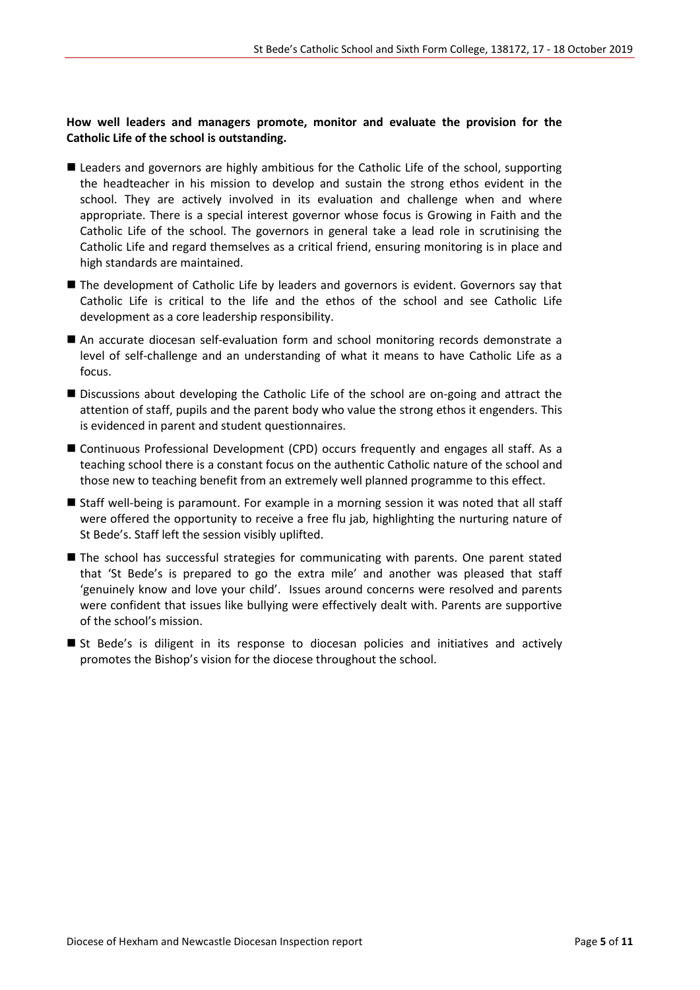#### **How well leaders and managers promote, monitor and evaluate the provision for the Catholic Life of the school is outstanding.**

- **Leaders and governors are highly ambitious for the Catholic Life of the school, supporting** the headteacher in his mission to develop and sustain the strong ethos evident in the school. They are actively involved in its evaluation and challenge when and where appropriate. There is a special interest governor whose focus is Growing in Faith and the Catholic Life of the school. The governors in general take a lead role in scrutinising the Catholic Life and regard themselves as a critical friend, ensuring monitoring is in place and high standards are maintained.
- The development of Catholic Life by leaders and governors is evident. Governors say that Catholic Life is critical to the life and the ethos of the school and see Catholic Life development as a core leadership responsibility.
- An accurate diocesan self-evaluation form and school monitoring records demonstrate a level of self-challenge and an understanding of what it means to have Catholic Life as a focus.
- Discussions about developing the Catholic Life of the school are on-going and attract the attention of staff, pupils and the parent body who value the strong ethos it engenders. This is evidenced in parent and student questionnaires.
- Continuous Professional Development (CPD) occurs frequently and engages all staff. As a teaching school there is a constant focus on the authentic Catholic nature of the school and those new to teaching benefit from an extremely well planned programme to this effect.
- Staff well-being is paramount. For example in a morning session it was noted that all staff were offered the opportunity to receive a free flu jab, highlighting the nurturing nature of St Bede's. Staff left the session visibly uplifted.
- The school has successful strategies for communicating with parents. One parent stated that 'St Bede's is prepared to go the extra mile' and another was pleased that staff 'genuinely know and love your child'. Issues around concerns were resolved and parents were confident that issues like bullying were effectively dealt with. Parents are supportive of the school's mission.
- St Bede's is diligent in its response to diocesan policies and initiatives and actively promotes the Bishop's vision for the diocese throughout the school.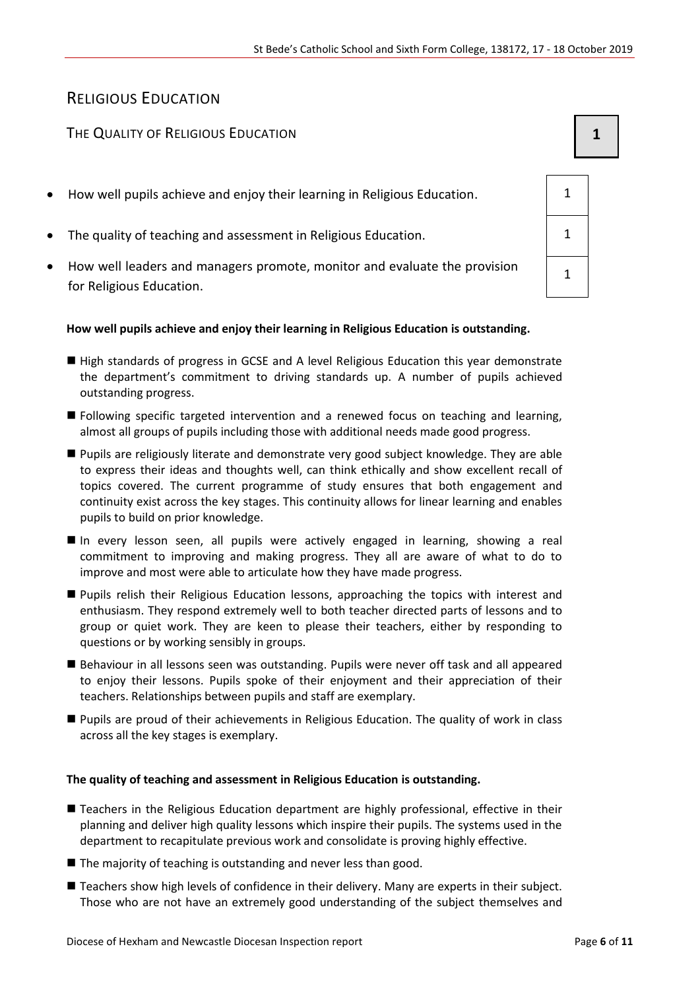# RELIGIOUS EDUCATION

## The Quality of Religious Education **1 1 1**

- How well pupils achieve and enjoy their learning in Religious Education. 1
- The quality of teaching and assessment in Religious Education. 1
- How well leaders and managers promote, monitor and evaluate the provision for Religious Education.

#### **How well pupils achieve and enjoy their learning in Religious Education is outstanding.**

- High standards of progress in GCSE and A level Religious Education this year demonstrate the department's commitment to driving standards up. A number of pupils achieved outstanding progress.
- Following specific targeted intervention and a renewed focus on teaching and learning, almost all groups of pupils including those with additional needs made good progress.
- Pupils are religiously literate and demonstrate very good subject knowledge. They are able to express their ideas and thoughts well, can think ethically and show excellent recall of topics covered. The current programme of study ensures that both engagement and continuity exist across the key stages. This continuity allows for linear learning and enables pupils to build on prior knowledge.
- In every lesson seen, all pupils were actively engaged in learning, showing a real commitment to improving and making progress. They all are aware of what to do to improve and most were able to articulate how they have made progress.
- **Pupils relish their Religious Education lessons, approaching the topics with interest and** enthusiasm. They respond extremely well to both teacher directed parts of lessons and to group or quiet work. They are keen to please their teachers, either by responding to questions or by working sensibly in groups.
- Behaviour in all lessons seen was outstanding. Pupils were never off task and all appeared to enjoy their lessons. Pupils spoke of their enjoyment and their appreciation of their teachers. Relationships between pupils and staff are exemplary.
- Pupils are proud of their achievements in Religious Education. The quality of work in class across all the key stages is exemplary.

#### **The quality of teaching and assessment in Religious Education is outstanding.**

- Teachers in the Religious Education department are highly professional, effective in their planning and deliver high quality lessons which inspire their pupils. The systems used in the department to recapitulate previous work and consolidate is proving highly effective.
- $\blacksquare$  The majority of teaching is outstanding and never less than good.
- Teachers show high levels of confidence in their delivery. Many are experts in their subject. Those who are not have an extremely good understanding of the subject themselves and

| 1              |  |
|----------------|--|
| 1              |  |
| $\overline{1}$ |  |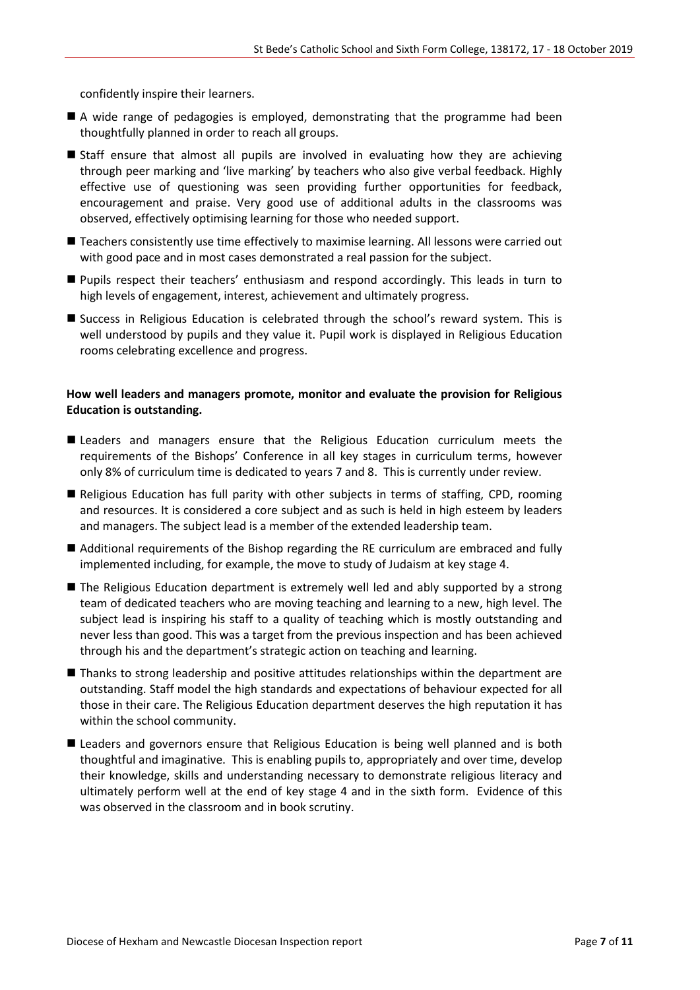confidently inspire their learners.

- A wide range of pedagogies is employed, demonstrating that the programme had been thoughtfully planned in order to reach all groups.
- Staff ensure that almost all pupils are involved in evaluating how they are achieving through peer marking and 'live marking' by teachers who also give verbal feedback. Highly effective use of questioning was seen providing further opportunities for feedback, encouragement and praise. Very good use of additional adults in the classrooms was observed, effectively optimising learning for those who needed support.
- Teachers consistently use time effectively to maximise learning. All lessons were carried out with good pace and in most cases demonstrated a real passion for the subject.
- Pupils respect their teachers' enthusiasm and respond accordingly. This leads in turn to high levels of engagement, interest, achievement and ultimately progress.
- Success in Religious Education is celebrated through the school's reward system. This is well understood by pupils and they value it. Pupil work is displayed in Religious Education rooms celebrating excellence and progress.

#### **How well leaders and managers promote, monitor and evaluate the provision for Religious Education is outstanding.**

- Leaders and managers ensure that the Religious Education curriculum meets the requirements of the Bishops' Conference in all key stages in curriculum terms, however only 8% of curriculum time is dedicated to years 7 and 8. This is currently under review.
- Religious Education has full parity with other subjects in terms of staffing, CPD, rooming and resources. It is considered a core subject and as such is held in high esteem by leaders and managers. The subject lead is a member of the extended leadership team.
- Additional requirements of the Bishop regarding the RE curriculum are embraced and fully implemented including, for example, the move to study of Judaism at key stage 4.
- The Religious Education department is extremely well led and ably supported by a strong team of dedicated teachers who are moving teaching and learning to a new, high level. The subject lead is inspiring his staff to a quality of teaching which is mostly outstanding and never less than good. This was a target from the previous inspection and has been achieved through his and the department's strategic action on teaching and learning.
- **Thanks to strong leadership and positive attitudes relationships within the department are** outstanding. Staff model the high standards and expectations of behaviour expected for all those in their care. The Religious Education department deserves the high reputation it has within the school community.
- **Leaders and governors ensure that Religious Education is being well planned and is both** thoughtful and imaginative. This is enabling pupils to, appropriately and over time, develop their knowledge, skills and understanding necessary to demonstrate religious literacy and ultimately perform well at the end of key stage 4 and in the sixth form. Evidence of this was observed in the classroom and in book scrutiny.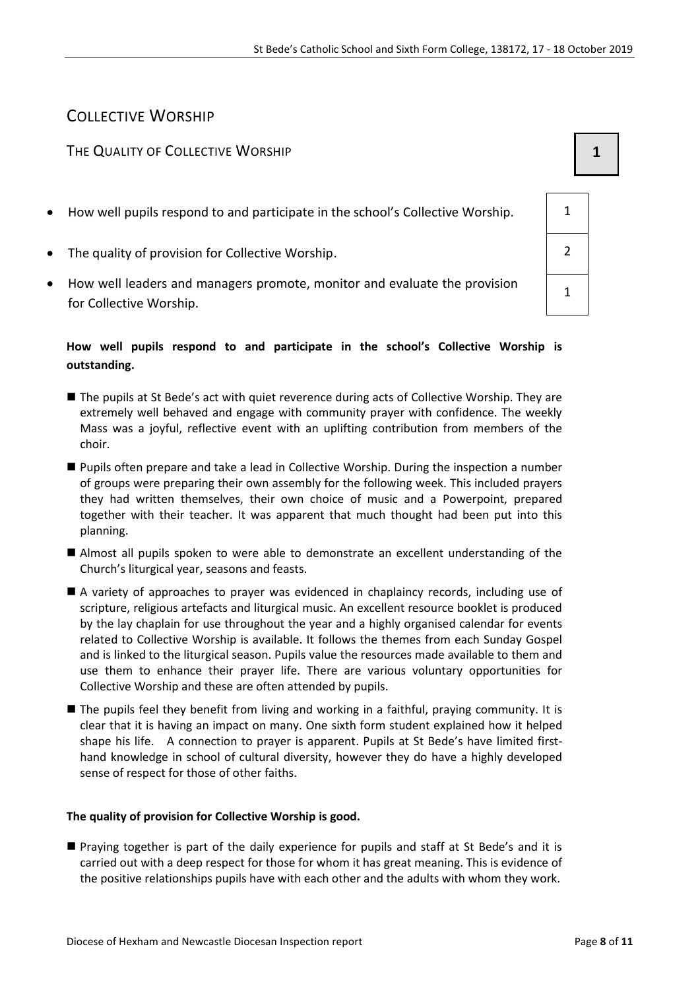# COLLECTIVE WORSHIP

#### THE QUALITY OF COLLECTIVE WORSHIP **1 1**

- How well pupils respond to and participate in the school's Collective Worship.  $\vert$  1
- The quality of provision for Collective Worship.  $\vert$  2
- How well leaders and managers promote, monitor and evaluate the provision for Collective Worship.

#### **How well pupils respond to and participate in the school's Collective Worship is outstanding.**

- The pupils at St Bede's act with quiet reverence during acts of Collective Worship. They are extremely well behaved and engage with community prayer with confidence. The weekly Mass was a joyful, reflective event with an uplifting contribution from members of the choir.
- Pupils often prepare and take a lead in Collective Worship. During the inspection a number of groups were preparing their own assembly for the following week. This included prayers they had written themselves, their own choice of music and a Powerpoint, prepared together with their teacher. It was apparent that much thought had been put into this planning.
- Almost all pupils spoken to were able to demonstrate an excellent understanding of the Church's liturgical year, seasons and feasts.
- A variety of approaches to prayer was evidenced in chaplaincy records, including use of scripture, religious artefacts and liturgical music. An excellent resource booklet is produced by the lay chaplain for use throughout the year and a highly organised calendar for events related to Collective Worship is available. It follows the themes from each Sunday Gospel and is linked to the liturgical season. Pupils value the resources made available to them and use them to enhance their prayer life. There are various voluntary opportunities for Collective Worship and these are often attended by pupils.
- The pupils feel they benefit from living and working in a faithful, praying community. It is clear that it is having an impact on many. One sixth form student explained how it helped shape his life. A connection to prayer is apparent. Pupils at St Bede's have limited firsthand knowledge in school of cultural diversity, however they do have a highly developed sense of respect for those of other faiths.

#### **The quality of provision for Collective Worship is good.**

 Praying together is part of the daily experience for pupils and staff at St Bede's and it is carried out with a deep respect for those for whom it has great meaning. This is evidence of the positive relationships pupils have with each other and the adults with whom they work.

1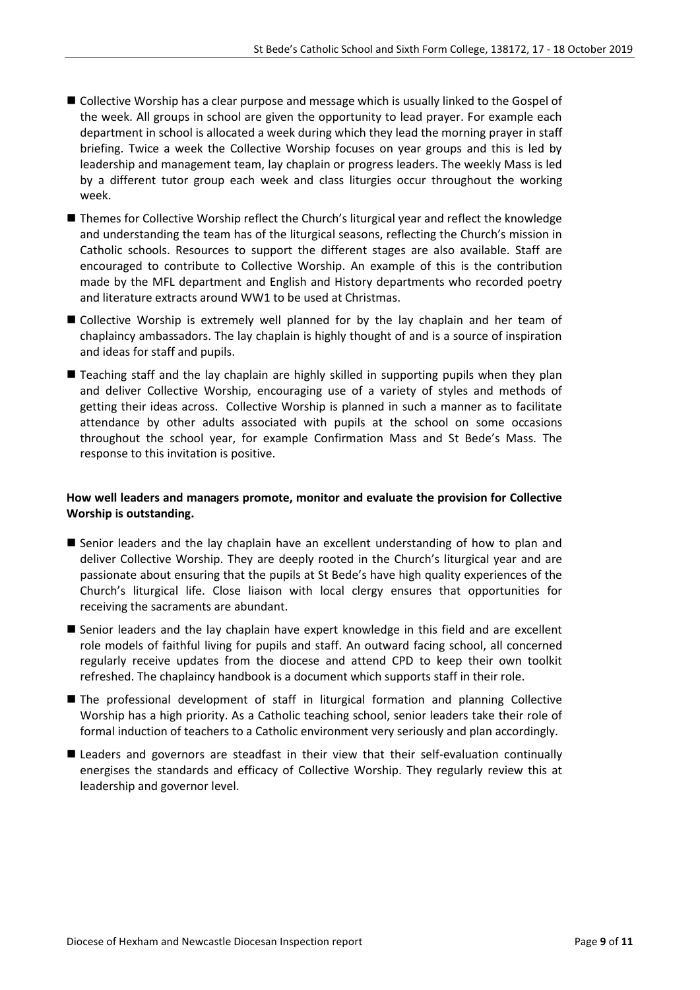- Collective Worship has a clear purpose and message which is usually linked to the Gospel of the week. All groups in school are given the opportunity to lead prayer. For example each department in school is allocated a week during which they lead the morning prayer in staff briefing. Twice a week the Collective Worship focuses on year groups and this is led by leadership and management team, lay chaplain or progress leaders. The weekly Mass is led by a different tutor group each week and class liturgies occur throughout the working week.
- Themes for Collective Worship reflect the Church's liturgical year and reflect the knowledge and understanding the team has of the liturgical seasons, reflecting the Church's mission in Catholic schools. Resources to support the different stages are also available. Staff are encouraged to contribute to Collective Worship. An example of this is the contribution made by the MFL department and English and History departments who recorded poetry and literature extracts around WW1 to be used at Christmas.
- Collective Worship is extremely well planned for by the lay chaplain and her team of chaplaincy ambassadors. The lay chaplain is highly thought of and is a source of inspiration and ideas for staff and pupils.
- Teaching staff and the lay chaplain are highly skilled in supporting pupils when they plan and deliver Collective Worship, encouraging use of a variety of styles and methods of getting their ideas across. Collective Worship is planned in such a manner as to facilitate attendance by other adults associated with pupils at the school on some occasions throughout the school year, for example Confirmation Mass and St Bede's Mass. The response to this invitation is positive.

#### **How well leaders and managers promote, monitor and evaluate the provision for Collective Worship is outstanding.**

- Senior leaders and the lay chaplain have an excellent understanding of how to plan and deliver Collective Worship. They are deeply rooted in the Church's liturgical year and are passionate about ensuring that the pupils at St Bede's have high quality experiences of the Church's liturgical life. Close liaison with local clergy ensures that opportunities for receiving the sacraments are abundant.
- Senior leaders and the lay chaplain have expert knowledge in this field and are excellent role models of faithful living for pupils and staff. An outward facing school, all concerned regularly receive updates from the diocese and attend CPD to keep their own toolkit refreshed. The chaplaincy handbook is a document which supports staff in their role.
- The professional development of staff in liturgical formation and planning Collective Worship has a high priority. As a Catholic teaching school, senior leaders take their role of formal induction of teachers to a Catholic environment very seriously and plan accordingly.
- Leaders and governors are steadfast in their view that their self-evaluation continually energises the standards and efficacy of Collective Worship. They regularly review this at leadership and governor level.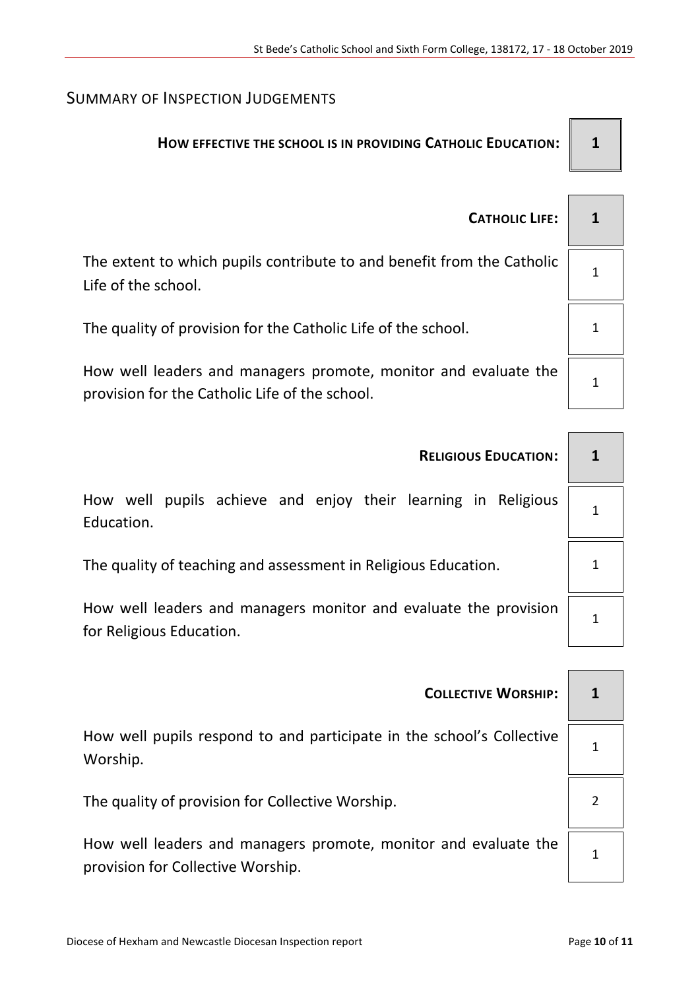# SUMMARY OF INSPECTION JUDGEMENTS

# **HOW EFFECTIVE THE SCHOOL IS IN PROVIDING CATHOLIC EDUCATION: 1**

| <b>CATHOLIC LIFE:</b>                                                                                             |  |
|-------------------------------------------------------------------------------------------------------------------|--|
| The extent to which pupils contribute to and benefit from the Catholic<br>Life of the school.                     |  |
| The quality of provision for the Catholic Life of the school.                                                     |  |
| How well leaders and managers promote, monitor and evaluate the<br>provision for the Catholic Life of the school. |  |

| <b>RELIGIOUS EDUCATION:</b>                                                                  |  |
|----------------------------------------------------------------------------------------------|--|
| How well pupils achieve and enjoy their learning in Religious<br>Education.                  |  |
| The quality of teaching and assessment in Religious Education.                               |  |
| How well leaders and managers monitor and evaluate the provision<br>for Religious Education. |  |
|                                                                                              |  |

| <b>COLLECTIVE WORSHIP:</b>                                                                           |  |
|------------------------------------------------------------------------------------------------------|--|
| How well pupils respond to and participate in the school's Collective<br>Worship.                    |  |
| The quality of provision for Collective Worship.                                                     |  |
| How well leaders and managers promote, monitor and evaluate the<br>provision for Collective Worship. |  |